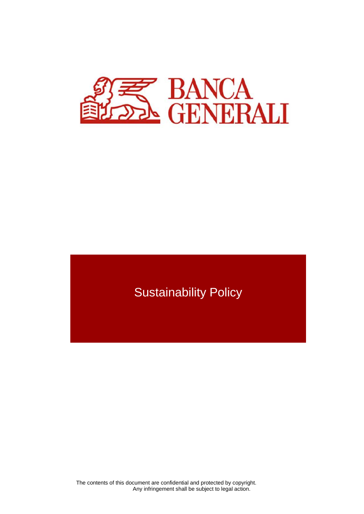

# Sustainability Policy

 The contents of this document are confidential and protected by copyright. Any infringement shall be subject to legal action.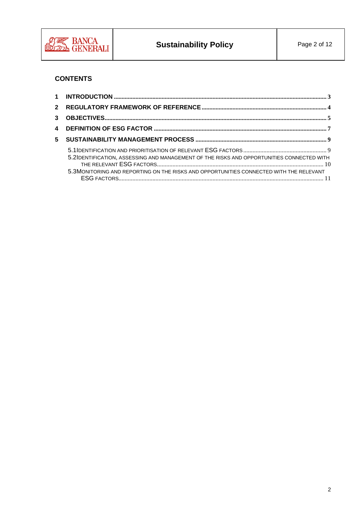

## **CONTENTS**

| 5.2IDENTIFICATION, ASSESSING AND MANAGEMENT OF THE RISKS AND OPPORTUNITIES CONNECTED WITH<br>5.3MONITORING AND REPORTING ON THE RISKS AND OPPORTUNITIES CONNECTED WITH THE RELEVANT |  |
|-------------------------------------------------------------------------------------------------------------------------------------------------------------------------------------|--|
|                                                                                                                                                                                     |  |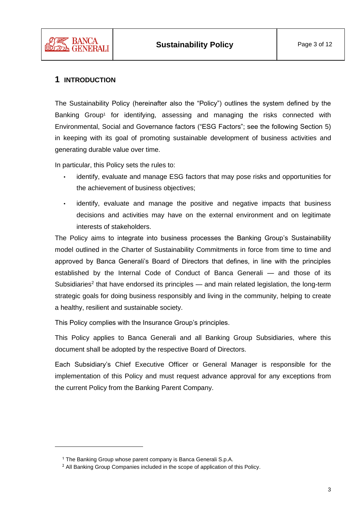

### <span id="page-2-0"></span>**1 INTRODUCTION**

The Sustainability Policy (hereinafter also the "Policy") outlines the system defined by the Banking Group<sup>1</sup> for identifying, assessing and managing the risks connected with Environmental, Social and Governance factors ("ESG Factors"; see the following Section [5\)](#page-8-0) in keeping with its goal of promoting sustainable development of business activities and generating durable value over time.

In particular, this Policy sets the rules to:

- identify, evaluate and manage ESG factors that may pose risks and opportunities for the achievement of business objectives;
- identify, evaluate and manage the positive and negative impacts that business decisions and activities may have on the external environment and on legitimate interests of stakeholders.

The Policy aims to integrate into business processes the Banking Group's Sustainability model outlined in the Charter of Sustainability Commitments in force from time to time and approved by Banca Generali's Board of Directors that defines, in line with the principles established by the Internal Code of Conduct of Banca Generali — and those of its Subsidiaries<sup>2</sup> that have endorsed its principles  $-$  and main related legislation, the long-term strategic goals for doing business responsibly and living in the community, helping to create a healthy, resilient and sustainable society.

This Policy complies with the Insurance Group's principles.

This Policy applies to Banca Generali and all Banking Group Subsidiaries, where this document shall be adopted by the respective Board of Directors.

Each Subsidiary's Chief Executive Officer or General Manager is responsible for the implementation of this Policy and must request advance approval for any exceptions from the current Policy from the Banking Parent Company.

<sup>&</sup>lt;sup>1</sup> The Banking Group whose parent company is Banca Generali S.p.A.

<sup>&</sup>lt;sup>2</sup> All Banking Group Companies included in the scope of application of this Policy.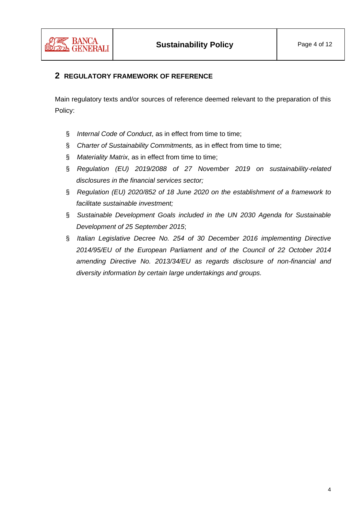

## <span id="page-3-0"></span>**2 REGULATORY FRAMEWORK OF REFERENCE**

Main regulatory texts and/or sources of reference deemed relevant to the preparation of this Policy:

- § *Internal Code of Conduct*, as in effect from time to time;
- § *Charter of Sustainability Commitments,* as in effect from time to time;
- § *Materiality Matrix*, as in effect from time to time;
- § *Regulation (EU) 2019/2088 of 27 November 2019 on sustainability*‐*related disclosures in the financial services sector;*
- § *Regulation (EU) 2020/852 of 18 June 2020 on the establishment of a framework to facilitate sustainable investment;*
- § *Sustainable Development Goals included in the UN 2030 Agenda for Sustainable Development of 25 September 2015*;
- § *Italian Legislative Decree No. 254 of 30 December 2016 implementing Directive 2014/95/EU of the European Parliament and of the Council of 22 October 2014 amending Directive No. 2013/34/EU as regards disclosure of non-financial and diversity information by certain large undertakings and groups.*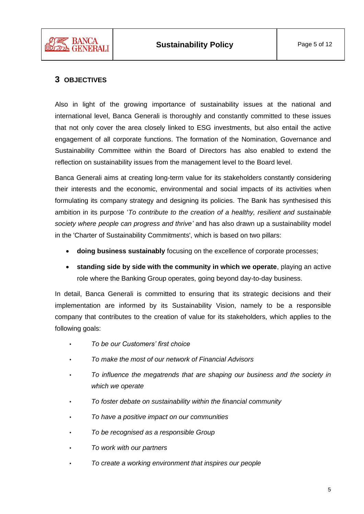

## <span id="page-4-0"></span>**3 OBJECTIVES**

Also in light of the growing importance of sustainability issues at the national and international level, Banca Generali is thoroughly and constantly committed to these issues that not only cover the area closely linked to ESG investments, but also entail the active engagement of all corporate functions. The formation of the Nomination, Governance and Sustainability Committee within the Board of Directors has also enabled to extend the reflection on sustainability issues from the management level to the Board level.

Banca Generali aims at creating long-term value for its stakeholders constantly considering their interests and the economic, environmental and social impacts of its activities when formulating its company strategy and designing its policies. The Bank has synthesised this ambition in its purpose '*To contribute to the creation of a healthy, resilient and sustainable society where people can progress and thrive'* and has also drawn up a sustainability model in the 'Charter of Sustainability Commitments', which is based on two pillars:

- **doing business sustainably** focusing on the excellence of corporate processes;
- **standing side by side with the community in which we operate**, playing an active role where the Banking Group operates, going beyond day-to-day business.

In detail, Banca Generali is committed to ensuring that its strategic decisions and their implementation are informed by its Sustainability Vision, namely to be a responsible company that contributes to the creation of value for its stakeholders, which applies to the following goals:

- *To be our Customers' first choice*
- *To make the most of our network of Financial Advisors*
- *To influence the megatrends that are shaping our business and the society in which we operate*
- *To foster debate on sustainability within the financial community*
- *To have a positive impact on our communities*
- *To be recognised as a responsible Group*
- *To work with our partners*
- *To create a working environment that inspires our people*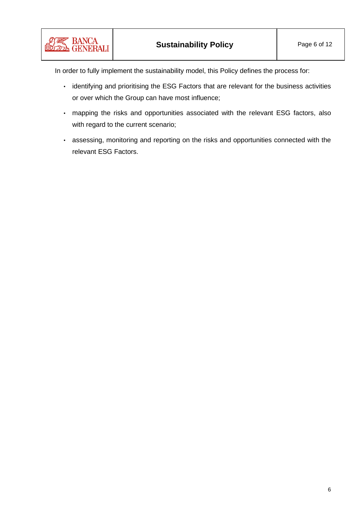In order to fully implement the sustainability model, this Policy defines the process for:

- identifying and prioritising the ESG Factors that are relevant for the business activities or over which the Group can have most influence;
- mapping the risks and opportunities associated with the relevant ESG factors, also with regard to the current scenario;
- assessing, monitoring and reporting on the risks and opportunities connected with the relevant ESG Factors.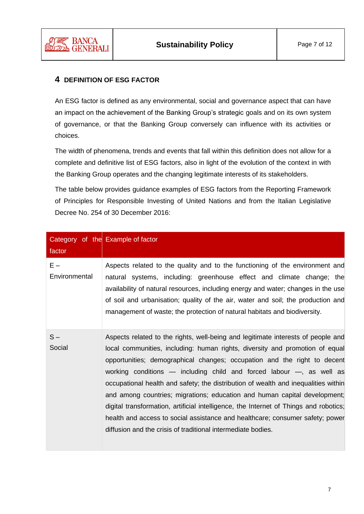

### <span id="page-6-0"></span>**4 DEFINITION OF ESG FACTOR**

An ESG factor is defined as any environmental, social and governance aspect that can have an impact on the achievement of the Banking Group's strategic goals and on its own system of governance, or that the Banking Group conversely can influence with its activities or choices.

The width of phenomena, trends and events that fall within this definition does not allow for a complete and definitive list of ESG factors, also in light of the evolution of the context in with the Banking Group operates and the changing legitimate interests of its stakeholders.

The table below provides guidance examples of ESG factors from the Reporting Framework of Principles for Responsible Investing of United Nations and from the Italian Legislative Decree No. 254 of 30 December 2016:

| factor                 | Category of the Example of factor                                                                                                                                                                                                                                                                                                                                                                                                                                                                                                                                                                                                                                                                                                 |
|------------------------|-----------------------------------------------------------------------------------------------------------------------------------------------------------------------------------------------------------------------------------------------------------------------------------------------------------------------------------------------------------------------------------------------------------------------------------------------------------------------------------------------------------------------------------------------------------------------------------------------------------------------------------------------------------------------------------------------------------------------------------|
| $E -$<br>Environmental | Aspects related to the quality and to the functioning of the environment and<br>natural systems, including: greenhouse effect and climate change; the<br>availability of natural resources, including energy and water; changes in the use<br>of soil and urbanisation; quality of the air, water and soil; the production and<br>management of waste; the protection of natural habitats and biodiversity.                                                                                                                                                                                                                                                                                                                       |
| $S -$<br>Social        | Aspects related to the rights, well-being and legitimate interests of people and<br>local communities, including: human rights, diversity and promotion of equal<br>opportunities; demographical changes; occupation and the right to decent<br>working conditions — including child and forced labour —, as well as<br>occupational health and safety; the distribution of wealth and inequalities within<br>and among countries; migrations; education and human capital development;<br>digital transformation, artificial intelligence, the Internet of Things and robotics;<br>health and access to social assistance and healthcare; consumer safety; power<br>diffusion and the crisis of traditional intermediate bodies. |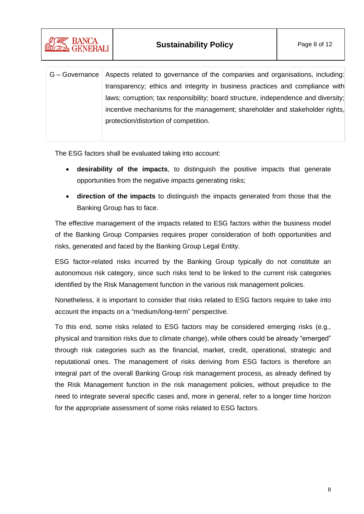

| G – Governance   Aspects related to governance of the companies and organisations, including: |
|-----------------------------------------------------------------------------------------------|
| transparency; ethics and integrity in business practices and compliance with                  |
| laws; corruption; tax responsibility; board structure, independence and diversity;            |
| incentive mechanisms for the management; shareholder and stakeholder rights,                  |
| protection/distortion of competition.                                                         |

The ESG factors shall be evaluated taking into account:

- **desirability of the impacts**, to distinguish the positive impacts that generate opportunities from the negative impacts generating risks;
- **direction of the impacts** to distinguish the impacts generated from those that the Banking Group has to face.

The effective management of the impacts related to ESG factors within the business model of the Banking Group Companies requires proper consideration of both opportunities and risks, generated and faced by the Banking Group Legal Entity.

ESG factor-related risks incurred by the Banking Group typically do not constitute an autonomous risk category, since such risks tend to be linked to the current risk categories identified by the Risk Management function in the various risk management policies.

Nonetheless, it is important to consider that risks related to ESG factors require to take into account the impacts on a "medium/long-term" perspective.

To this end, some risks related to ESG factors may be considered emerging risks (e.g., physical and transition risks due to climate change), while others could be already "emerged" through risk categories such as the financial, market, credit, operational, strategic and reputational ones. The management of risks deriving from ESG factors is therefore an integral part of the overall Banking Group risk management process, as already defined by the Risk Management function in the risk management policies, without prejudice to the need to integrate several specific cases and, more in general, refer to a longer time horizon for the appropriate assessment of some risks related to ESG factors.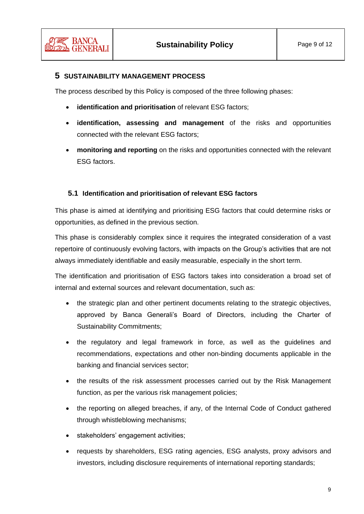

#### <span id="page-8-0"></span>**5 SUSTAINABILITY MANAGEMENT PROCESS**

The process described by this Policy is composed of the three following phases:

- **identification and prioritisation** of relevant ESG factors;
- **identification, assessing and management** of the risks and opportunities connected with the relevant ESG factors;
- **monitoring and reporting** on the risks and opportunities connected with the relevant ESG factors.

#### <span id="page-8-1"></span>**5.1 Identification and prioritisation of relevant ESG factors**

This phase is aimed at identifying and prioritising ESG factors that could determine risks or opportunities, as defined in the previous section.

This phase is considerably complex since it requires the integrated consideration of a vast repertoire of continuously evolving factors, with impacts on the Group's activities that are not always immediately identifiable and easily measurable, especially in the short term.

The identification and prioritisation of ESG factors takes into consideration a broad set of internal and external sources and relevant documentation, such as:

- the strategic plan and other pertinent documents relating to the strategic objectives, approved by Banca Generali's Board of Directors, including the Charter of Sustainability Commitments;
- the regulatory and legal framework in force, as well as the guidelines and recommendations, expectations and other non-binding documents applicable in the banking and financial services sector;
- the results of the risk assessment processes carried out by the Risk Management function, as per the various risk management policies;
- the reporting on alleged breaches, if any, of the Internal Code of Conduct gathered through whistleblowing mechanisms;
- stakeholders' engagement activities;
- requests by shareholders, ESG rating agencies, ESG analysts, proxy advisors and investors, including disclosure requirements of international reporting standards;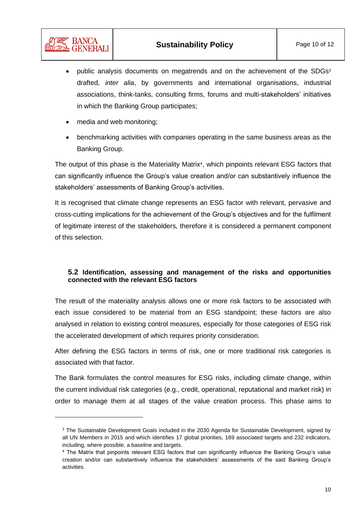- public analysis documents on megatrends and on the achievement of the SDGs<sup>3</sup> drafted, *inter alia*, by governments and international organisations, industrial associations, think-tanks, consulting firms, forums and multi-stakeholders' initiatives in which the Banking Group participates;
- media and web monitoring;

' BANCA

• benchmarking activities with companies operating in the same business areas as the Banking Group.

The output of this phase is the Materiality Matrix<sup>4</sup>, which pinpoints relevant ESG factors that can significantly influence the Group's value creation and/or can substantively influence the stakeholders' assessments of Banking Group's activities.

It is recognised that climate change represents an ESG factor with relevant, pervasive and cross-cutting implications for the achievement of the Group's objectives and for the fulfilment of legitimate interest of the stakeholders, therefore it is considered a permanent component of this selection.

#### <span id="page-9-0"></span>**5.2 Identification, assessing and management of the risks and opportunities connected with the relevant ESG factors**

The result of the materiality analysis allows one or more risk factors to be associated with each issue considered to be material from an ESG standpoint; these factors are also analysed in relation to existing control measures, especially for those categories of ESG risk the accelerated development of which requires priority consideration.

After defining the ESG factors in terms of risk, one or more traditional risk categories is associated with that factor.

The Bank formulates the control measures for ESG risks, including climate change, within the current individual risk categories (e.g., credit, operational, reputational and market risk) in order to manage them at all stages of the value creation process. This phase aims to

<sup>&</sup>lt;sup>3</sup> The Sustainable Development Goals included in the 2030 Agenda for Sustainable Development, signed by all UN Members in 2015 and which identifies 17 global priorities, 169 associated targets and 232 indicators, including, where possible, a baseline and targets.

<sup>4</sup> The Matrix that pinpoints relevant ESG factors that can significantly influence the Banking Group's value creation and/or can substantively influence the stakeholders' assessments of the said Banking Group's activities.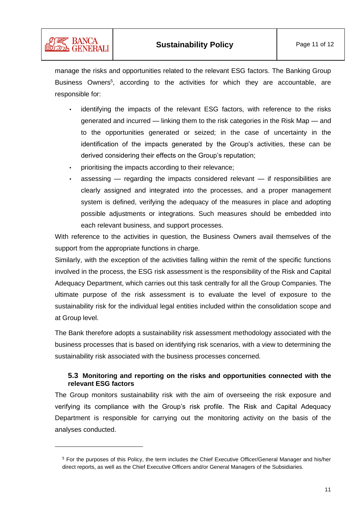

manage the risks and opportunities related to the relevant ESG factors. The Banking Group Business Owners<sup>5</sup>, according to the activities for which they are accountable, are responsible for:

- identifying the impacts of the relevant ESG factors, with reference to the risks generated and incurred — linking them to the risk categories in the Risk Map — and to the opportunities generated or seized; in the case of uncertainty in the identification of the impacts generated by the Group's activities, these can be derived considering their effects on the Group's reputation;
- prioritising the impacts according to their relevance;

<sup>2</sup> BANCA **ELDE GENERALI** 

> assessing  $-$  regarding the impacts considered relevant  $-$  if responsibilities are clearly assigned and integrated into the processes, and a proper management system is defined, verifying the adequacy of the measures in place and adopting possible adjustments or integrations. Such measures should be embedded into each relevant business, and support processes.

With reference to the activities in question, the Business Owners avail themselves of the support from the appropriate functions in charge.

Similarly, with the exception of the activities falling within the remit of the specific functions involved in the process, the ESG risk assessment is the responsibility of the Risk and Capital Adequacy Department, which carries out this task centrally for all the Group Companies. The ultimate purpose of the risk assessment is to evaluate the level of exposure to the sustainability risk for the individual legal entities included within the consolidation scope and at Group level.

The Bank therefore adopts a sustainability risk assessment methodology associated with the business processes that is based on identifying risk scenarios, with a view to determining the sustainability risk associated with the business processes concerned.

#### <span id="page-10-0"></span>**5.3 Monitoring and reporting on the risks and opportunities connected with the relevant ESG factors**

The Group monitors sustainability risk with the aim of overseeing the risk exposure and verifying its compliance with the Group's risk profile. The Risk and Capital Adequacy Department is responsible for carrying out the monitoring activity on the basis of the analyses conducted.

<sup>5</sup> For the purposes of this Policy, the term includes the Chief Executive Officer/General Manager and his/her direct reports, as well as the Chief Executive Officers and/or General Managers of the Subsidiaries.